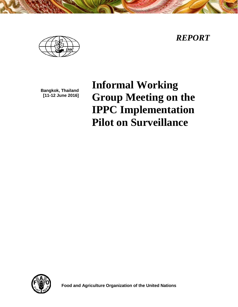*REPORT*



**Bangkok, Thailand [11-12 June 2016]**

**Informal Working Group Meeting on the IPPC Implementation Pilot on Surveillance**



**Food and Agriculture Organization of the United Nations**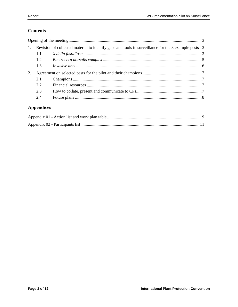# **Contents**

| 1.1 |                                                                                                    |
|-----|----------------------------------------------------------------------------------------------------|
| 1.2 |                                                                                                    |
| 1.3 |                                                                                                    |
|     |                                                                                                    |
| 2.1 |                                                                                                    |
| 2.2 |                                                                                                    |
| 2.3 |                                                                                                    |
| 2.4 |                                                                                                    |
|     | Revision of collected material to identify gaps and tools in surveillance for the 3 example pests3 |

# **Appendices**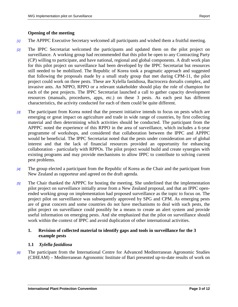#### <span id="page-2-0"></span>**Opening of the meeting**

- *[1]* The APPPC Executive Secretary welcomed all participants and wished them a fruitful meeting.
- *[2]* The IPPC Secretariat welcomed the participants and updated them on the pilot project on surveillance. A working group had recommended that this pilot be open to any Contracting Party (CP) willing to participate, and have national, regional and global components. A draft work plan for this pilot project on surveillance had been developed by the IPPC Secretariat but resources still needed to be mobilized. The Republic of Korea took a pragmatic approach and suggested that following the proposals made by a small study group that met during CPM-11, the pilot project could work on three pests. These are Xylella fastidiosa, Bactrocera dorsalis complex, and invasive ants. An NPPO, RPPO or a relevant stakeholder should play the role of champion for each of the pest projects. The IPPC Secretariat launched a call to gather capacity development resources (manuals, procedures, apps, etc.) on these 3 pests. As each pest has different characteristics, the activity conducted for each of them could be quite different.
- *[3]* The participant from Korea noted that the present initiative intends to focus on pests which are emerging or great impact on agriculture and trade in wide range of countries, by first collecting material and then determining which activities should be conducted. The participant from the APPPC noted the experience of this RPPO in the area of surveillance, which includes a 6-year programme of workshops, and considered that collaboration between the IPPC and APPPC would be beneficial. The IPPC Secretariat noted that the pests under consideration are of global interest and that the lack of financial resources provided an opportunity for enhancing collaboration - particularly with RPPOs. The pilot project would build and create synergies with existing programs and may provide mechanisms to allow IPPC to contribute to solving current pest problems.
- *[4]* The group elected a participant from the Republic of Korea as the Chair and the participant from New Zealand as rapporteur and agreed on the draft agenda.
- *[5]* The Chair thanked the APPPC for hosting the meeting. She underlined that the implementation pilot project on surveillance initially arose from a New Zealand proposal, and that an IPPC openended working group on implementation had proposed surveillance as the topic to focus on. The project pilot on surveillance was subsequently approved by SPG and CPM. As emerging pests are of great concern and some countries do not have mechanisms to deal with such pests, the pilot project on surveillance could possibly be a means to create an alert system and provide useful information on emerging pests. And she emphasized that the pilot on surveillance should work within the context of IPPC and avoid duplication of other international activities.

#### <span id="page-2-1"></span>**1. Revision of collected material to identify gaps and tools in surveillance for the 3 example pests**

#### <span id="page-2-2"></span>**1.1** *Xylella fastidiosa*

*[6]* The participant from the International Centre for Advanced Mediterranean Agronomic Studies (CIHEAM) – Mediterranean Agronomic Institute of Bari presented up-to-date results of work on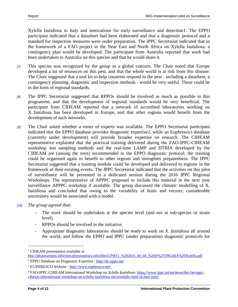Xylella fastidiosa in Italy and innovations for early surveillance and detection[1.](#page-3-0) The EPPO participant indicated that a datasheet had been elaborated and that a diagnostic protocol and a standard for inspection measures were under preparation. The IPPC Secretariat indicated that in the framework of a FAO project in the Near East and North Africa on Xylella fastidiosa, a contingency plan would be developed. The participant from Australia reported that work had been undertaken in Australia on this species and that he would share it.

- *[7]* This species was recognized by the group as a global concern. The Chair noted that Europe developed a lot of resources on this pest, and that the whole world is at risk from this disease. The Chair suggested that a tool kit to help countries respond to the pest - including a datasheet, a contingency planning, diagnostic and inspection methods - would be very useful. These could be in the form of regional standards.
- *[8]* The IPPC Secretariat suggested that RPPOs should be involved as much as possible in this programme, and that the development of regional standards would be very beneficial. The participant from CIHEAM reported that a network of accredited laboratories working on X. fastidiosa has been developed in Europe, and that other regions would benefit from the development of such networks.
- *[9]* The Chair asked whether a roster of experts was available. The EPPO Secretariat participant indicated that the EPPO database provides diagnostic expertise[2,](#page-3-1) while an Euphresco[3](#page-3-2) database (currently under development) will provide broader expertise on research. The CIHEAM representative explained that the practical training delivered during the FAO-IPPC-CIHEAM workshop [4](#page-3-3)on sampling methods and the real-time LAMP and DTBIA developed by the CIHEAM are (among the tests) recommended in the EPPO diagnostic protocol; the training could be organised again to benefit to other regions and strengthen preparedness. The IPPC Secretariat suggested that a training module could be developed and delivered to regions in the framework of their existing events. The IPPC Secretariat indicated that the activities on this pilot of surveillance will be presented in a dedicated session during the 2016 IPPC Regional Workshops. The representative of APPPC proposed to include this material in the next year surveillance APPPC workshop if available. The group discussed the climatic modelling of X. fastidiosa and concluded that owing to the variability of hosts and vectors, considerable uncertainty would be associated with a model.
- *[10] The group agreed that:*
	- The work should be undertaken at the species level (and not at sub-species or strain level).
	- RPPOs should be involved in the initiative.
	- Appropriate diagnostic laboratories should be ready to work on *X. fastidiosa* all around the world, and follow the EPPO and IPPC (under preparation) diagnostic protocols for

 $\overline{a}$ 

<sup>&</sup>lt;sup>1</sup> CIHEAM presentation available at

<span id="page-3-0"></span>[http://phytosanitary.info/sites/phytosanitary.info/files/CPM11\\_%202016\\_04\\_04\\_%20D%27ONGHIA%20Xylella.pdf](http://phytosanitary.info/sites/phytosanitary.info/files/CPM11_%202016_04_04_%20D%27ONGHIA%20Xylella.pdf)

<span id="page-3-1"></span><sup>&</sup>lt;sup>2</sup> EPPO Database on Diagnostic Expertise [: http://dc.eppo.int/](http://dc.eppo.int/)

<span id="page-3-2"></span><sup>3</sup> EUPHRESCO Website :<http://www.euphresco.net/>

<span id="page-3-3"></span><sup>4</sup> FAO-IPPC-CIHEAM International Workshop on *Xylella fastidiosa*[: https://www.ippc.int/en/news/the-fao-ippc](https://www.ippc.int/en/news/the-fao-ippc-ciheam-international-workshop-on-xylella-fastidiosa-successfully-held-in-bari-italy/)[ciheam-international-workshop-on-xylella-fastidiosa-successfully-held-in-bari-italy/](https://www.ippc.int/en/news/the-fao-ippc-ciheam-international-workshop-on-xylella-fastidiosa-successfully-held-in-bari-italy/)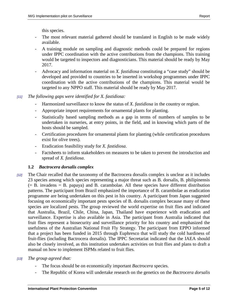this species.

- The most relevant material gathered should be translated in English to be made widely available.
- A training module on sampling and diagnostic methods could be prepared for regions under IPPC coordination with the active contributions from the champions. This training would be targeted to inspectors and diagnosticians. This material should be ready by May 2017.
- Advocacy and information material on *X. fastidiosa* constituting a "case study" should be developed and provided to countries to be inserted in workshop programmes under IPPC coordination with the active contributions of the champions. This material would be targeted to any NPPO staff. This material should be ready by May 2017.

#### *[11] The following gaps were identified for X. fastidiosa:*

- Harmonized surveillance to know the status of *X. fastidiosa* in the country or region.
- Appropriate import requirements for ornamental plants for planting.
- Statistically based sampling methods as a gap in terms of numbers of samples to be undertaken in nurseries, at entry points, in the field, and in knowing which parts of the hosts should be sampled.
- Certification procedures for ornamental plants for planting (while certification procedures exist for olive trees).
- Eradication feasibility study for *X. fastidiosa*.
- Factsheets to inform stakeholders on measures to be taken to prevent the introduction and spread of *X. fastidiosa*.

## <span id="page-4-0"></span>**1.2** *Bactrocera dorsalis complex*

- *[12]* The Chair recalled that the taxonomy of the Bactrocera dorsalis complex is unclear as it includes 23 species among which species representing a major threat such as B. dorsalis, B. philipinensis  $(= B.$  invadens  $= B.$  papaya) and B. carambolae. All these species have different distribution patterns. The participant from Brazil emphasized the importance of B. carambolae as eradication programme are being undertaken on this pest in his country. A participant from Japan suggested focusing on economically important pests species of B. dorsalis complex because many of these species are localized pests. The group reviewed the world expertise on fruit flies and indicated that Australia, Brazil, Chile, China, Japan, Thailand have experience with eradication and surveillance. Expertise is also available in Asia. The participant from Australia indicated that fruit flies represent a biosecurity and surveillance priority for his country and emphasized the usefulness of the Australian National Fruit Fly Strategy. The participant from EPPO informed that a project has been funded in 2015 through Euphresco that will study the cold hardiness of fruit-flies (including Bactrocera dorsalis). The IPPC Secretariat indicated that the IAEA should also be closely involved, as this institution undertakes activities on fruit flies and plans to draft a manual on how to implement ISPMs related to fruit flies.
- *[13] The group agreed that:*
	- The focus should be on economically important *Bactrocera* species.
	- The Republic of Korea will undertake research on the genetics on the *Bactrocera dorsalis*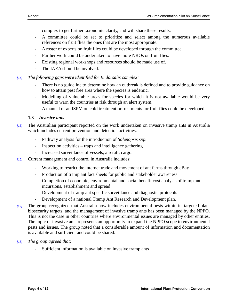complex to get further taxonomic clarity, and will share these results.

- A committee could be set to prioritize and select among the numerous available references on fruit flies the ones that are the most appropriate.
- A roster of experts on fruit flies could be developed through the committee.
- Further work could be undertaken to have more NROs on fruit flies.
- Existing regional workshops and resources should be made use of.
- The IAEA should be involved.
- *[14] The following gaps were identified for B. dorsalis complex:*
	- There is no guideline to determine how an outbreak is defined and to provide guidance on how to attain pest free area where the species is endemic.
	- Modelling of vulnerable areas for species for which it is not available would be very useful to warn the countries at risk through an alert system.
	- A manual or an ISPM on cold treatment or treatments for fruit flies could be developed.

#### <span id="page-5-0"></span>**1.3** *Invasive ants*

- *[15]* The Australian participant reported on the work undertaken on invasive tramp ants in Australia which includes current prevention and detection activities:
	- Pathway analysis for the introduction of *Solenopsis spp.*
	- Inspection activities traps and intelligence gathering
	- Increased surveillance of vessels, aircraft, cargo.
- *[16]* Current management and control in Australia includes:
	- Working to restrict the internet trade and movement of ant farms through eBay
	- Production of tramp ant fact sheets for public and stakeholder awareness
	- Completion of economic, environmental and social benefit cost analysis of tramp ant incursions, establishment and spread
	- Development of tramp ant specific surveillance and diagnostic protocols
	- Development of a national Tramp Ant Research and Development plan.
- *[17]* The group recognized that Australia now includes environmental pests within its targeted plant biosecurity targets, and the management of invasive tramp ants has been managed by the NPPO. This is not the case in other countries where environmental issues are managed by other entities. The topic of invasive ants represents an opportunity to expand the NPPO scope to environmental pests and issues. The group noted that a considerable amount of information and documentation is available and sufficient and could be shared.
- *[18] The group agreed that:*
	- Sufficient information is available on invasive tramp ants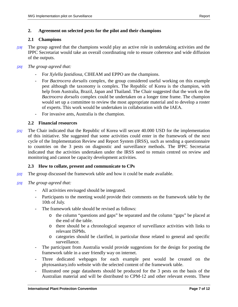#### <span id="page-6-0"></span>**2. Agreement on selected pests for the pilot and their champions**

#### <span id="page-6-1"></span>**2.1 Champions**

- *[19]* The group agreed that the champions would play an active role in undertaking activities and the IPPC Secretariat would take an overall coordinating role to ensure coherence and wide diffusion of the outputs.
- *[20] The group agreed that:*
	- For *Xylella fastidiosa*, CIHEAM and EPPO are the champions.
	- For *Bactrocera dorsalis* complex, the group considered useful working on this example pest although the taxonomy is complex. The Republic of Korea is the champion, with help from Australia, Brazil, Japan and Thailand. The Chair suggested that the work on the *Bactrocera dorsalis* complex could be undertaken on a longer time frame. The champion would set up a committee to review the most appropriate material and to develop a roster of experts. This work would be undertaken in collaboration with the IAEA.
	- For invasive ants, Australia is the champion.

#### <span id="page-6-2"></span>**2.2 Financial resources**

*[21]* The Chair indicated that the Republic of Korea will secure 40.000 USD for the implementation of this initiative. She suggested that some activities could enter in the framework of the next cycle of the Implementation Review and Report System (IRSS), such as sending a questionnaire to countries on the 3 pests on diagnostic and surveillance methods. The IPPC Secretariat indicated that the activities undertaken under the IRSS need to remain centred on review and monitoring and cannot be capacity development activities.

## <span id="page-6-3"></span>**2.3 How to collate, present and communicate to CPs**

- *[22]* The group discussed the framework table and how it could be made available.
- *[23] The group agreed that:*
	- All activities envisaged should be integrated.
	- Participants to the meeting would provide their comments on the framework table by the 10th of July.
	- The framework table should be revised as follows:
		- o the column "questions and gaps" be separated and the column "gaps" be placed at the end of the table.
		- o there should be a chronological sequence of surveillance activities with links to relevant ISPMs.
		- o categories should be clarified, in particular those related to general and specific surveillance.
	- The participant from Australia would provide suggestions for the design for posting the framework table in a user friendly way on internet.
	- Three dedicated webpages for each example pest would be created on the phytosanitary.info website with the selected content of the framework table.
	- Illustrated one page datasheets should be produced for the 3 pests on the basis of the Australian material and will be distributed to CPM-12 and other relevant events. These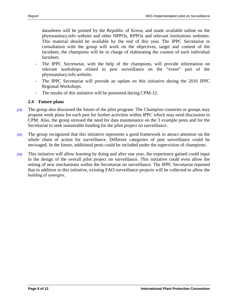datasheets will be printed by the Republic of Korea, and made available online on the phytosanitary.info website and other NPPOs, RPPOs and relevant institutions websites. This material should be available by the end of this year. The IPPC Secretariat in consultation with the group will work on the objectives, target and content of the factsheet, the champions will be in charge of elaborating the content of each individual factsheet.

- The IPPC Secretariat, with the help of the champions, will provide information on relevant workshops related to pest surveillance on the "event" part of the phytosanitary.info website.
- The IPPC Secretariat will provide an update on this initiative during the 2016 IPPC Regional Workshops.
- The results of this initiative will be presented during CPM-12.

#### <span id="page-7-0"></span>**2.4 Future plans**

- *[24]* The group also discussed the future of the pilot program. The Champion countries or groups may propose work plans for each pest for further activities within IPPC which may need discussion in CPM. Also, the group stressed the need for data maintenance on the 3 example pests and for the Secretariat to seek sustainable funding for the pilot project on surveillance.
- *[25]* The group recognized that this initiative represents a good framework to attract attention on the whole chain of action for surveillance. Different categories of pest surveillance could be envisaged. In the future, additional pests could be included under the supervision of champions.
- *[26]* This initiative will allow learning by doing and after one year, the experience gained could input in the design of the overall pilot project on surveillance. This initiative could even allow the setting of new mechanisms within the Secretariat on surveillance. The IPPC Secretariat reported that in addition to this initiative, existing FAO surveillance projects will be collected to allow the building of synergies.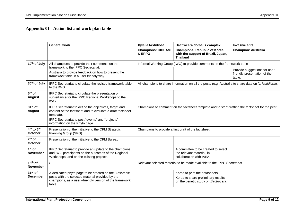# **Appendix 01 - Action list and work plan table**

<span id="page-8-0"></span>

|                                  | <b>General work</b>                                                                                                                                                                                                     | Xylella fastidiosa                                                                                   | Bactrocera dorsalis complex                                                                                 | <b>Invasive ants</b>                                                   |
|----------------------------------|-------------------------------------------------------------------------------------------------------------------------------------------------------------------------------------------------------------------------|------------------------------------------------------------------------------------------------------|-------------------------------------------------------------------------------------------------------------|------------------------------------------------------------------------|
|                                  |                                                                                                                                                                                                                         | <b>Champions: CIHEAM</b><br>& EPPO                                                                   | <b>Champions: Republic of Korea</b><br>with the support of Brazil, Japan,<br><b>Thailand</b>                | <b>Champion: Australia</b>                                             |
| 10 <sup>th</sup> of July         | All champions to provide their comments on the                                                                                                                                                                          | Informal Working Group (IWG) to provide comments on the framework table                              |                                                                                                             |                                                                        |
|                                  | framework to the IPPC Secretariat.<br>Australia to provide feedback on how to present the<br>framework table in a user friendly way.                                                                                    |                                                                                                      |                                                                                                             | Provide suggestions for user<br>friendly presentation of the<br>table. |
| 30 <sup>th</sup> of July         | IPPC Secretariat to circulate the revised framework table<br>to the IWG.                                                                                                                                                | All champions to share information on all the pests (e.g. Australia to share data on X. fastidiosa). |                                                                                                             |                                                                        |
| $5th$ of<br><b>August</b>        | IPPC Secretariat to circulate the presentation on<br>surveillance for the IPPC Regional Workshops to the<br>IWG.                                                                                                        |                                                                                                      |                                                                                                             |                                                                        |
| $31st$ of<br><b>August</b>       | IPPC Secretariat to define the objectives, target and<br>content of the factsheet and to circulate a draft factsheet<br>template.<br>IPPC Secretariat to post "events" and "projects"<br>information on the Phyto page. | Champions to comment on the factsheet template and to start drafting the factsheet for the pest.     |                                                                                                             |                                                                        |
| $4th$ to $6th$<br><b>October</b> | Presentation of the initiative to the CPM Strategic<br>Planning Group (SPG)                                                                                                                                             | Champions to provide a first draft of the factsheet.                                                 |                                                                                                             |                                                                        |
| $7th$ of<br><b>October</b>       | Presentation of the initiative to the CPM Bureau                                                                                                                                                                        |                                                                                                      |                                                                                                             |                                                                        |
| $1st$ of<br><b>November</b>      | IPPC Secretariat to provide an update to the champions<br>and IWG participants on the outcomes of the Regional<br>Workshops, and on the existing projects.                                                              |                                                                                                      | A committee to be created to select<br>the relevant material, in<br>collaboration with IAEA.                |                                                                        |
| $15th$ of<br><b>November</b>     |                                                                                                                                                                                                                         | Relevant selected material to be made available to the IPPC Secretariat.                             |                                                                                                             |                                                                        |
| $31st$ of<br><b>December</b>     | A dedicated phyto page to be created on the 3 example<br>pests with the selected material provided by the<br>champions, as a user -friendly version of the framework<br>table.                                          |                                                                                                      | Korea to print the datasheets.<br>Korea to share preliminary results<br>on the genetic study on Bactrocera. |                                                                        |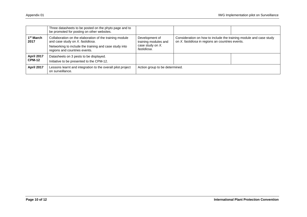|                               | Three datasheets to be posted on the phyto page and to<br>be promoted for posting on other websites.                                                                                   |                                                                           |                                                                                                                        |  |
|-------------------------------|----------------------------------------------------------------------------------------------------------------------------------------------------------------------------------------|---------------------------------------------------------------------------|------------------------------------------------------------------------------------------------------------------------|--|
| 1 <sup>st</sup> March<br>2017 | Collaboration on the elaboration of the training module<br>and case study on X. fastidiosa.<br>Networking to include the training and case study into<br>regions and countries events. | Development of<br>training modules and<br>case study on X.<br>fastidiosa. | Consideration on how to include the training module and case study<br>on X. fastidiosa in regions an countries events. |  |
| April 2017<br><b>CPM-12</b>   | Datasheets on 3 pests to be displayed.<br>Initiative to be presented to the CPM-12.                                                                                                    |                                                                           |                                                                                                                        |  |
| <b>April 2017</b>             | Lessons learnt and integration to the overall pilot project<br>on surveillance.                                                                                                        | Action group to be determined.                                            |                                                                                                                        |  |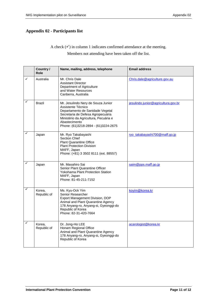## <span id="page-10-0"></span>**Appendix 02 - Participants list**

A check  $(\checkmark)$  in column 1 indicates confirmed attendance at the meeting.

Members not attending have been taken off the list.

|   | Country /<br><b>Role</b> | Name, mailing, address, telephone                                                                                                                                                                                                   | <b>Email address</b>                |
|---|--------------------------|-------------------------------------------------------------------------------------------------------------------------------------------------------------------------------------------------------------------------------------|-------------------------------------|
|   | Australia                | Mr. Chris Dale<br><b>Assistant Director</b><br>Department of Agriculture<br>and Water Resources<br>Canberra, Australia                                                                                                              | Chris.dale@agriculture.gov.au       |
|   | <b>Brazil</b>            | Mr. Jesulindo Nery de Souza Junior<br>Assistente Técnico<br>Departamento de Sanidade Vegetal<br>Secretaria de Defesa Agropecuária<br>Ministério da Agricultura, Pecuária e<br>Abastecimento<br>Phone: (61)3218-2894 - (61)3224-2675 | jesulindo.junior@agricultura.gov.br |
|   | Japan                    | Mr. Ryo Takabayashi<br><b>Section Chief</b><br><b>Plant Quarantine Office</b><br><b>Plant Protection Division</b><br>MAFF, Japan<br>Phone: (+81) 3 3502 8111 (ext. 88557)                                                           | ryo_takabayashi700@maff.go.jp       |
| ✓ | Japan                    | Mr. Masahiro Sai<br>Senior Plant Quarantine Officer<br>Yokohama Plant Protection Station<br>MAFF, Japan<br>Phone: 81-45-211-7152                                                                                                    | saim@pps.maff.go.jp                 |
| ✓ | Korea,<br>Republic of    | Ms. Kyu-Ock Yim<br>Senior Researcher<br>Export Management Division, DOP<br>Animal and Plant Quarantine Agency<br>178 Anyang-ro, Anyang-si, Gyeonggi-do<br>Republic of Korea<br>Phone: 82-31-420-7664                                | koyim@korea.kr                      |
| ✓ | Korea,<br>Republic of    | Dr. Jong-Ho LEE<br>Honam Regional Office<br>Animal and Plant Quarantine Agency<br>178 Anyang-ro, Anyang-si, Gyeonggi-do<br>Republic of Korea                                                                                        | acarologist@korea.kr                |